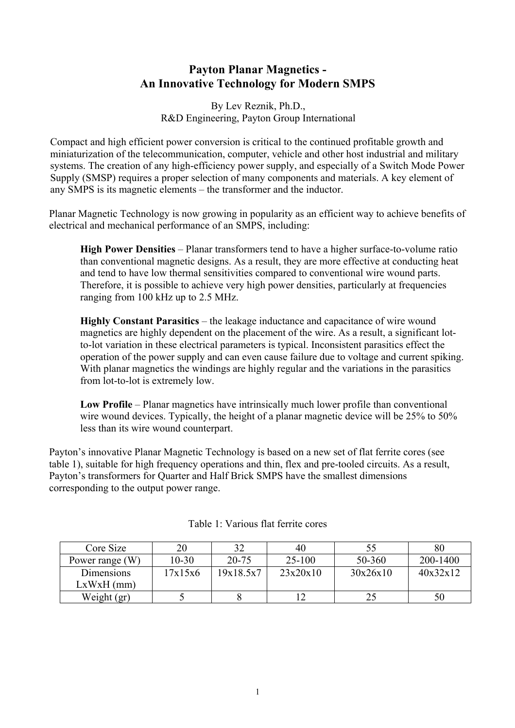# **Payton Planar Magnetics - An Innovative Technology for Modern SMPS**

By Lev Reznik, Ph.D., R&D Engineering, Payton Group International

Compact and high efficient power conversion is critical to the continued profitable growth and miniaturization of the telecommunication, computer, vehicle and other host industrial and military systems. The creation of any high-efficiency power supply, and especially of a Switch Mode Power Supply (SMSP) requires a proper selection of many components and materials. A key element of any SMPS is its magnetic elements – the transformer and the inductor.

Planar Magnetic Technology is now growing in popularity as an efficient way to achieve benefits of electrical and mechanical performance of an SMPS, including:

 **High Power Densities** – Planar transformers tend to have a higher surface-to-volume ratio than conventional magnetic designs. As a result, they are more effective at conducting heat and tend to have low thermal sensitivities compared to conventional wire wound parts. Therefore, it is possible to achieve very high power densities, particularly at frequencies ranging from 100 kHz up to 2.5 MHz.

 **Highly Constant Parasitics** – the leakage inductance and capacitance of wire wound magnetics are highly dependent on the placement of the wire. As a result, a significant lotto-lot variation in these electrical parameters is typical. Inconsistent parasitics effect the operation of the power supply and can even cause failure due to voltage and current spiking. With planar magnetics the windings are highly regular and the variations in the parasitics from lot-to-lot is extremely low.

 **Low Profile** – Planar magnetics have intrinsically much lower profile than conventional wire wound devices. Typically, the height of a planar magnetic device will be 25% to 50% less than its wire wound counterpart.

Payton's innovative Planar Magnetic Technology is based on a new set of flat ferrite cores (see table 1), suitable for high frequency operations and thin, flex and pre-tooled circuits. As a result, Payton's transformers for Quarter and Half Brick SMPS have the smallest dimensions corresponding to the output power range.

| Core Size       | 20      | 32        | 40       |          | 80       |
|-----------------|---------|-----------|----------|----------|----------|
| Power range (W) | 10-30   | 20-75     | $25-100$ | 50-360   | 200-1400 |
| Dimensions      | 17x15x6 | 19x18.5x7 | 23x20x10 | 30x26x10 | 40x32x12 |
| $LxWxH$ (mm)    |         |           |          |          |          |
| Weight (gr)     |         |           |          |          | 50       |

Table 1: Various flat ferrite cores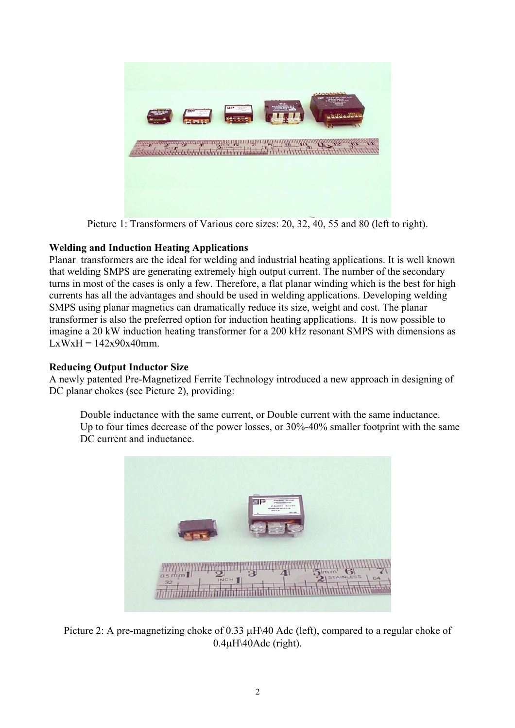

Picture 1: Transformers of Various core sizes: 20, 32, 40, 55 and 80 (left to right).

## **Welding and Induction Heating Applications**

Planar transformers are the ideal for welding and industrial heating applications. It is well known that welding SMPS are generating extremely high output current. The number of the secondary turns in most of the cases is only a few. Therefore, a flat planar winding which is the best for high currents has all the advantages and should be used in welding applications. Developing welding SMPS using planar magnetics can dramatically reduce its size, weight and cost. The planar transformer is also the preferred option for induction heating applications. It is now possible to imagine a 20 kW induction heating transformer for a 200 kHz resonant SMPS with dimensions as  $LxWxH = 142x90x40mm$ .

## **Reducing Output Inductor Size**

A newly patented Pre-Magnetized Ferrite Technology introduced a new approach in designing of DC planar chokes (see Picture 2), providing:

 Double inductance with the same current, or Double current with the same inductance. Up to four times decrease of the power losses, or 30%-40% smaller footprint with the same DC current and inductance.



Picture 2: A pre-magnetizing choke of 0.33 µΗ\40 Adc (left), compared to a regular choke of 0.4µΗ\40Adc (right).